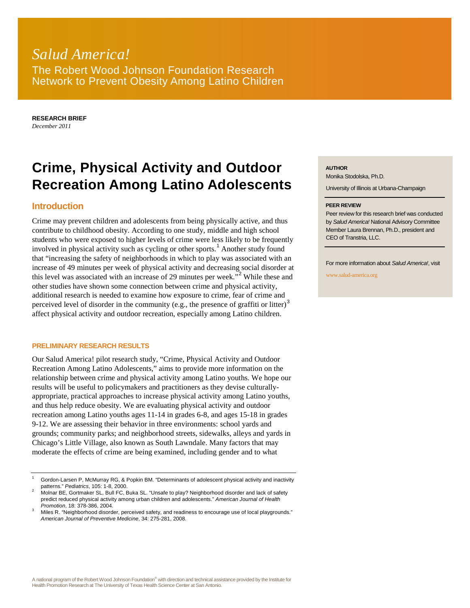# *Salud America!* The Robert Wood Johnson Foundation Research Network to Prevent Obesity Among Latino Children

**RESEARCH BRIEF** *December 2011*

# **Crime, Physical Activity and Outdoor Recreation Among Latino Adolescents**

## **Introduction**

Crime may prevent children and adolescents from being physically active, and thus contribute to childhood obesity. According to one study, middle and high school students who were exposed to higher levels of crime were less likely to be frequently involved in physical activity such as cycling or other sports.<sup>[1](#page-0-0)</sup> Another study found that "increasing the safety of neighborhoods in which to play was associated with an increase of 49 minutes per week of physical activity and decreasing social disorder at this level was associated with an increase of [2](#page-0-1)9 minutes per week."<sup>2</sup> While these and other studies have shown some connection between crime and physical activity, additional research is needed to examine how exposure to crime, fear of crime and perceived level of disorder in the community (e.g., the presence of graffiti or litter) $3$ affect physical activity and outdoor recreation, especially among Latino children.

#### **PRELIMINARY RESEARCH RESULTS**

Our Salud America! pilot research study, "Crime, Physical Activity and Outdoor Recreation Among Latino Adolescents," aims to provide more information on the relationship between crime and physical activity among Latino youths. We hope our results will be useful to policymakers and practitioners as they devise culturallyappropriate, practical approaches to increase physical activity among Latino youths, and thus help reduce obesity. We are evaluating physical activity and outdoor recreation among Latino youths ages 11-14 in grades 6-8, and ages 15-18 in grades 9-12. We are assessing their behavior in three environments: school yards and grounds; community parks; and neighborhood streets, sidewalks, alleys and yards in Chicago's Little Village, also known as South Lawndale. Many factors that may moderate the effects of crime are being examined, including gender and to what

#### **AUTHOR**

Monika Stodolska, Ph.D.

University of Illinois at Urbana-Champaign

#### **PEER REVIEW**

Peer review for this research brief was conducted by *Salud America!* National Advisory Committee Member Laura Brennan, Ph.D., president and CEO of Transtria, LLC.

For more information about *Salud America!*, visit

www.salud-america.org

<span id="page-0-0"></span><sup>1</sup> Gordon-Larsen P, McMurray RG, & Popkin BM. "Determinants of adolescent physical activity and inactivity

<span id="page-0-1"></span>patterns." *Pediatrics*, 105: 1-8, 2000.<br>Molnar BE, Gortmaker SL, Bull FC, Buka SL. "Unsafe to play? Neighborhood disorder and lack of safety predict reduced physical activity among urban children and adolescents." *American Journal of Health Promotion*, 18: 378-386, 2004.<br>Miles R. "Neighborhood disorder, perceived safety, and readiness to encourage use of local playgrounds."

<span id="page-0-2"></span>*American Journal of Preventive Medicine*, 34: 275-281, 2008.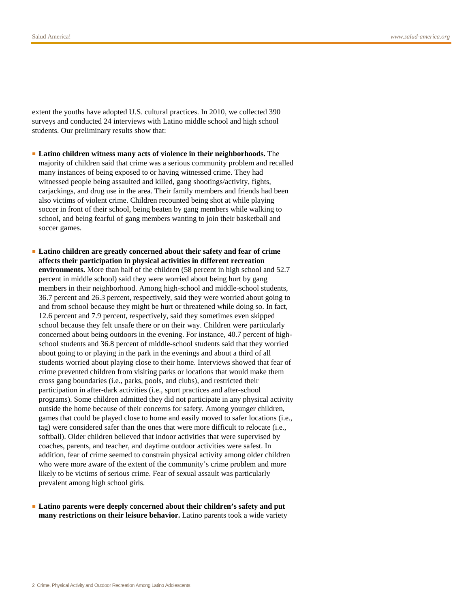extent the youths have adopted U.S. cultural practices. In 2010, we collected 390 surveys and conducted 24 interviews with Latino middle school and high school students. Our preliminary results show that:

- **Latino children witness many acts of violence in their neighborhoods.** The majority of children said that crime was a serious community problem and recalled many instances of being exposed to or having witnessed crime. They had witnessed people being assaulted and killed, gang shootings/activity, fights, carjackings, and drug use in the area. Their family members and friends had been also victims of violent crime. Children recounted being shot at while playing soccer in front of their school, being beaten by gang members while walking to school, and being fearful of gang members wanting to join their basketball and soccer games.
- **Latino children are greatly concerned about their safety and fear of crime affects their participation in physical activities in different recreation environments.** More than half of the children (58 percent in high school and 52.7 percent in middle school) said they were worried about being hurt by gang members in their neighborhood. Among high-school and middle-school students, 36.7 percent and 26.3 percent, respectively, said they were worried about going to and from school because they might be hurt or threatened while doing so. In fact, 12.6 percent and 7.9 percent, respectively, said they sometimes even skipped school because they felt unsafe there or on their way. Children were particularly concerned about being outdoors in the evening. For instance, 40.7 percent of highschool students and 36.8 percent of middle-school students said that they worried about going to or playing in the park in the evenings and about a third of all students worried about playing close to their home. Interviews showed that fear of crime prevented children from visiting parks or locations that would make them cross gang boundaries (i.e., parks, pools, and clubs), and restricted their participation in after-dark activities (i.e., sport practices and after-school programs). Some children admitted they did not participate in any physical activity outside the home because of their concerns for safety. Among younger children, games that could be played close to home and easily moved to safer locations (i.e., tag) were considered safer than the ones that were more difficult to relocate (i.e., softball). Older children believed that indoor activities that were supervised by coaches, parents, and teacher, and daytime outdoor activities were safest. In addition, fear of crime seemed to constrain physical activity among older children who were more aware of the extent of the community's crime problem and more likely to be victims of serious crime. Fear of sexual assault was particularly prevalent among high school girls.
- **Latino parents were deeply concerned about their children's safety and put many restrictions on their leisure behavior.** Latino parents took a wide variety